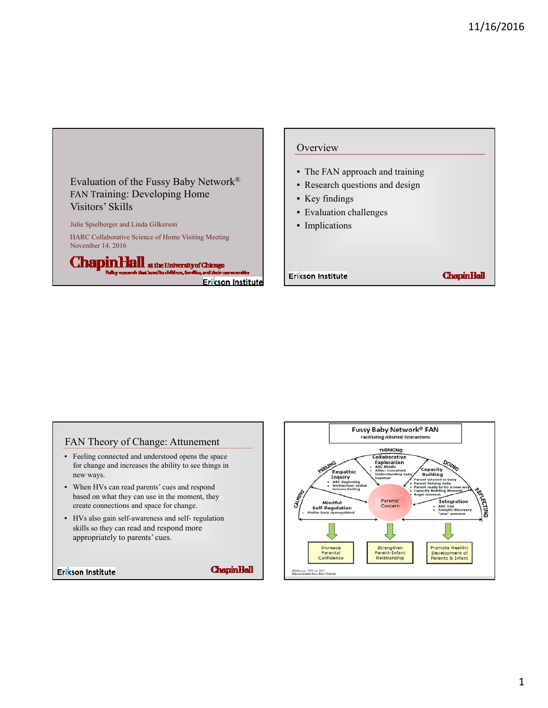Evaluation of the Fussy Baby Network® FAN Training: Developing Home Visitors' Skills Julie Spielberger and Linda Gilkerson

HARC Collaborative Science of Home Visiting Meeting November 14, 2016

ChapinHall at the University of Chicago Erikson Institute

## **Overview**

- The FAN approach and training
- Research questions and design
- Key findings
- Evaluation challenges
- Implications

Erikson Institute

**ChapinHall** 

## FAN Theory of Change: Attunement

- Feeling connected and understood opens the space for change and increases the ability to see things in new ways.
- When HVs can read parents' cues and respond based on what they can use in the moment, they create connections and space for change.
- HVs also gain self-awareness and self- regulation skills so they can read and respond more appropriately to parents' cues.

Erikson Institute

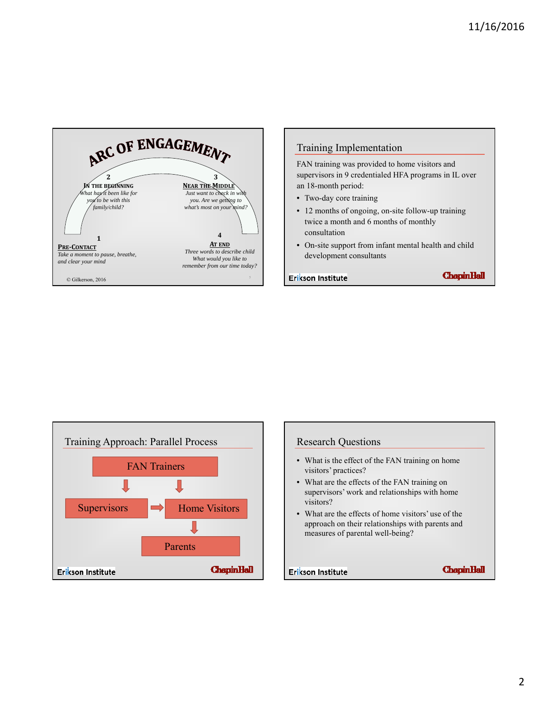

# Training Implementation

FAN training was provided to home visitors and supervisors in 9 credentialed HFA programs in IL over an 18-month period:

- Two-day core training
- 12 months of ongoing, on-site follow-up training twice a month and 6 months of monthly consultation
- On-site support from infant mental health and child development consultants

Erikson Institute



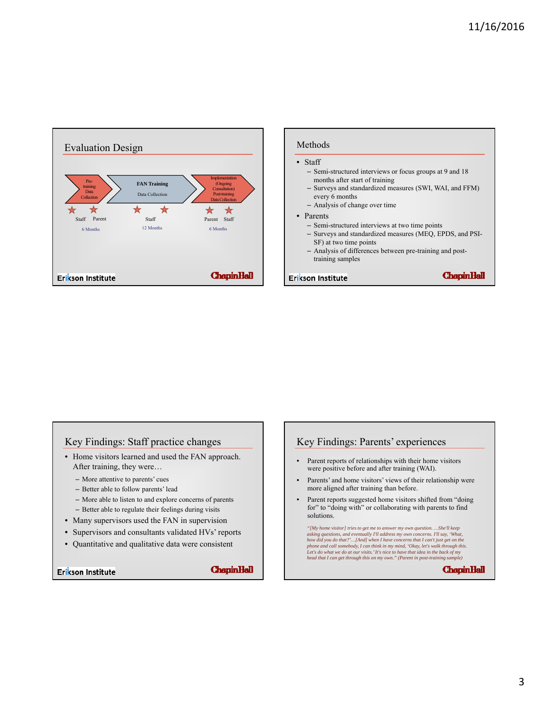

| Methods |  |
|---------|--|
|         |  |

#### • Staff

- Semi-structured interviews or focus groups at 9 and 18 months after start of training
- Surveys and standardized measures (SWI, WAI, and FFM) every 6 months
- Analysis of change over time
- Parents
	- Semi-structured interviews at two time points
	- Surveys and standardized measures (MEQ, EPDS, and PSI-SF) at two time points
	- Analysis of differences between pre-training and posttraining samples

Erikson Institute

**ChapinHall** 

# Key Findings: Staff practice changes

- Home visitors learned and used the FAN approach. After training, they were…
	- More attentive to parents' cues
	- Better able to follow parents' lead
	- More able to listen to and explore concerns of parents
	- Better able to regulate their feelings during visits
- Many supervisors used the FAN in supervision
- Supervisors and consultants validated HVs' reports
- Quantitative and qualitative data were consistent

### Erikson Institute

**ChapinHall** 

## Key Findings: Parents' experiences

- Parent reports of relationships with their home visitors were positive before and after training (WAI).
- Parents' and home visitors' views of their relationship were more aligned after training than before.
- Parent reports suggested home visitors shifted from "doing for" to "doing with" or collaborating with parents to find solutions.

"[My home visitor] tries to get me to answer my own question. ...She'll keep<br>asking questions, and eventually I'll address my own concerns. I'll say, 'What,<br>how did you do that?'...[And] when I have concerns that I can't *head that I can get through this on my own." (Parent in post-training sample)*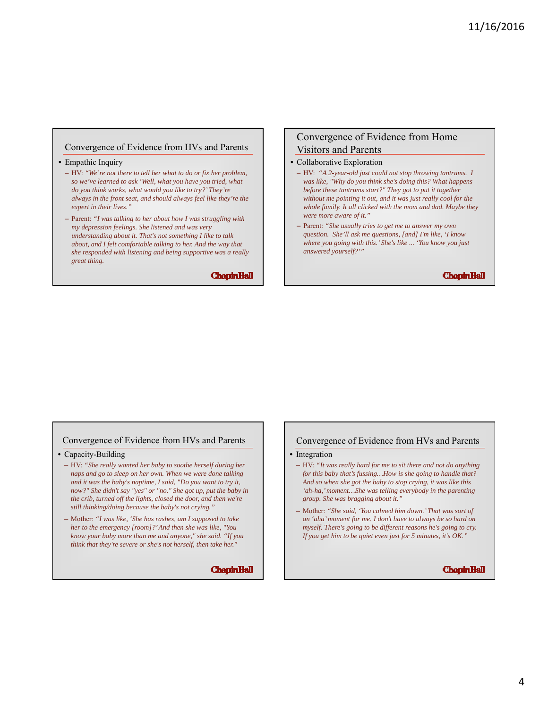### Convergence of Evidence from HVs and Parents

#### • Empathic Inquiry

- HV: *"We're not there to tell her what to do or fix her problem, so we've learned to ask 'Well, what you have you tried, what do you think works, what would you like to try?' They're always in the front seat, and should always feel like they're the expert in their lives."*
- Parent: *"I was talking to her about how I was struggling with my depression feelings. She listened and was very understanding about it. That's not something I like to talk about, and I felt comfortable talking to her. And the way that she responded with listening and being supportive was a really great thing.*

**ChapinHall** 

## Convergence of Evidence from Home Visitors and Parents

#### • Collaborative Exploration

- HV: *"A 2-year-old just could not stop throwing tantrums. I was like, "Why do you think she's doing this? What happens before these tantrums start?" They got to put it together without me pointing it out, and it was just really cool for the whole family. It all clicked with the mom and dad. Maybe they were more aware of it."*
- Parent: *"She usually tries to get me to answer my own question. She'll ask me questions, [and] I'm like, 'I know where you going with this.' She's like ... 'You know you just answered yourself?'"*

**ChapinHall** 

## Convergence of Evidence from HVs and Parents

• Capacity-Building

- HV: *"She really wanted her baby to soothe herself during her naps and go to sleep on her own. When we were done talking and it was the baby's naptime, I said, "Do you want to try it, now?" She didn't say "yes" or "no." She got up, put the baby in the crib, turned off the lights, closed the door, and then we're still thinking/doing because the baby's not crying."*
- Mother: *"I was like, 'She has rashes, am I supposed to take her to the emergency [room]?' And then she was like, "You know your baby more than me and anyone," she said. "If you think that they're severe or she's not herself, then take her."*

**ChapinHall** 

#### Convergence of Evidence from HVs and Parents

• Integration

- HV: *"It was really hard for me to sit there and not do anything for this baby that's fussing…How is she going to handle that? And so when she got the baby to stop crying, it was like this 'ah-ha,' moment…She was telling everybody in the parenting group. She was bragging about it."*
- Mother: *"She said, 'You calmed him down.' That was sort of an 'aha' moment for me. I don't have to always be so hard on myself. There's going to be different reasons he's going to cry. If you get him to be quiet even just for 5 minutes, it's OK."*